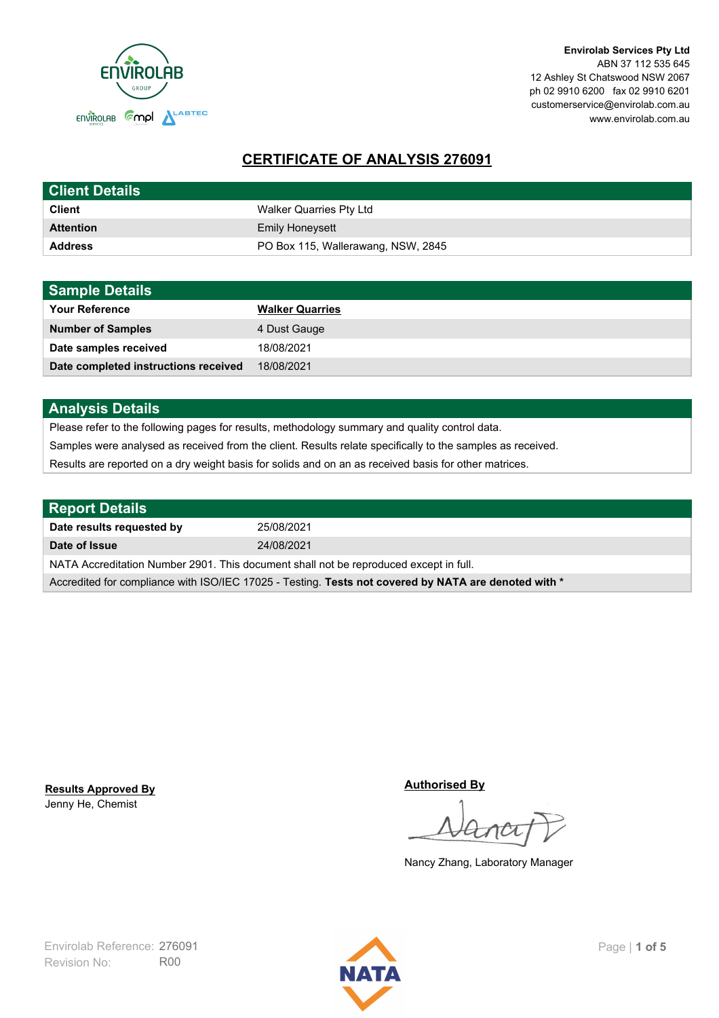

**Envirolab Services Pty Ltd** ABN 37 112 535 645 12 Ashley St Chatswood NSW 2067 ph 02 9910 6200 fax 02 9910 6201 customerservice@envirolab.com.au www.envirolab.com.au

# **CERTIFICATE OF ANALYSIS 276091**

| <b>Client Details</b> |                                    |
|-----------------------|------------------------------------|
| <b>Client</b>         | Walker Quarries Pty Ltd            |
| <b>Attention</b>      | <b>Emily Honeysett</b>             |
| <b>Address</b>        | PO Box 115, Wallerawang, NSW, 2845 |

| <b>Sample Details</b>                |                        |
|--------------------------------------|------------------------|
| <b>Your Reference</b>                | <b>Walker Quarries</b> |
| <b>Number of Samples</b>             | 4 Dust Gauge           |
| Date samples received                | 18/08/2021             |
| Date completed instructions received | 18/08/2021             |

## **Analysis Details**

Please refer to the following pages for results, methodology summary and quality control data.

Samples were analysed as received from the client. Results relate specifically to the samples as received.

Results are reported on a dry weight basis for solids and on an as received basis for other matrices.

| <b>Report Details</b>                                                                                |            |  |
|------------------------------------------------------------------------------------------------------|------------|--|
| Date results requested by                                                                            | 25/08/2021 |  |
| Date of Issue                                                                                        | 24/08/2021 |  |
| NATA Accreditation Number 2901. This document shall not be reproduced except in full.                |            |  |
| Accredited for compliance with ISO/IEC 17025 - Testing. Tests not covered by NATA are denoted with * |            |  |

Jenny He, Chemist **Results Approved By** **Authorised By**

Nancy Zhang, Laboratory Manager

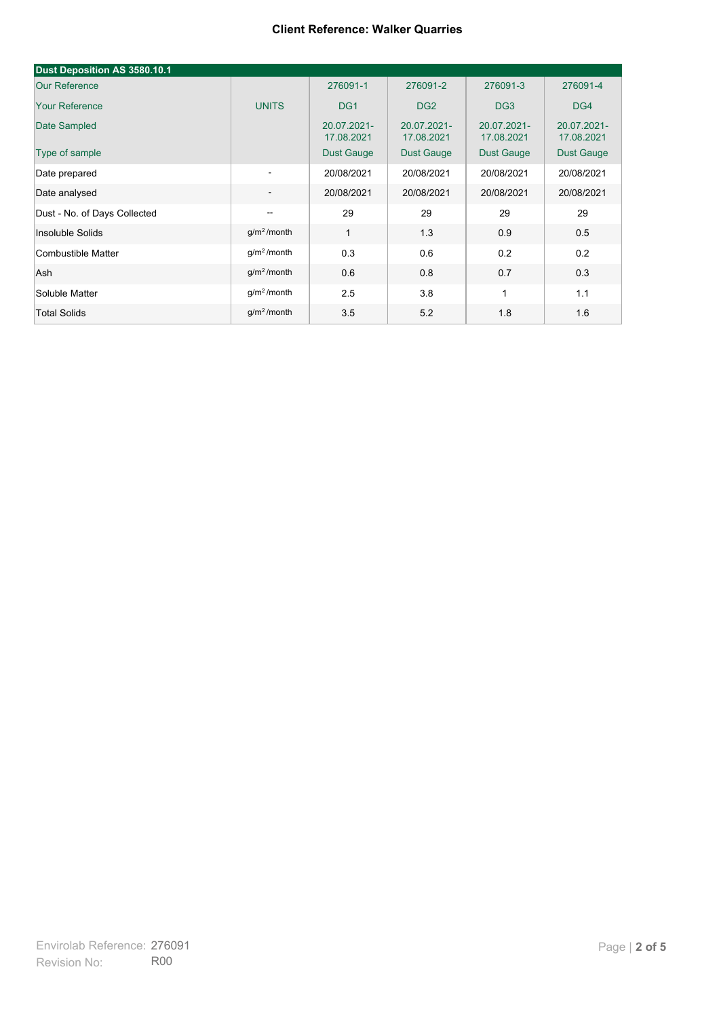| Dust Deposition AS 3580.10.1 |                          |                           |                           |                           |                           |
|------------------------------|--------------------------|---------------------------|---------------------------|---------------------------|---------------------------|
| <b>Our Reference</b>         |                          | 276091-1                  | 276091-2                  | 276091-3                  | 276091-4                  |
| <b>Your Reference</b>        | <b>UNITS</b>             | DG <sub>1</sub>           | DG <sub>2</sub>           | DG <sub>3</sub>           | DG4                       |
| Date Sampled                 |                          | 20.07.2021-<br>17.08.2021 | 20.07.2021-<br>17.08.2021 | 20.07.2021-<br>17.08.2021 | 20.07.2021-<br>17.08.2021 |
| Type of sample               |                          | <b>Dust Gauge</b>         | <b>Dust Gauge</b>         | <b>Dust Gauge</b>         | Dust Gauge                |
| Date prepared                | $\overline{\phantom{a}}$ | 20/08/2021                | 20/08/2021                | 20/08/2021                | 20/08/2021                |
| Date analysed                | $\overline{\phantom{a}}$ | 20/08/2021                | 20/08/2021                | 20/08/2021                | 20/08/2021                |
| Dust - No. of Days Collected | $\overline{\phantom{a}}$ | 29                        | 29                        | 29                        | 29                        |
| Insoluble Solids             | g/m <sup>2</sup> /month  | 1                         | 1.3                       | 0.9                       | 0.5                       |
| Combustible Matter           | g/m <sup>2</sup> /month  | 0.3                       | 0.6                       | 0.2                       | 0.2                       |
| Ash                          | g/m <sup>2</sup> /month  | 0.6                       | 0.8                       | 0.7                       | 0.3                       |
| Soluble Matter               | g/m <sup>2</sup> /month  | 2.5                       | 3.8                       | 1                         | 1.1                       |
| <b>Total Solids</b>          | $g/m2$ /month            | 3.5                       | 5.2                       | 1.8                       | 1.6                       |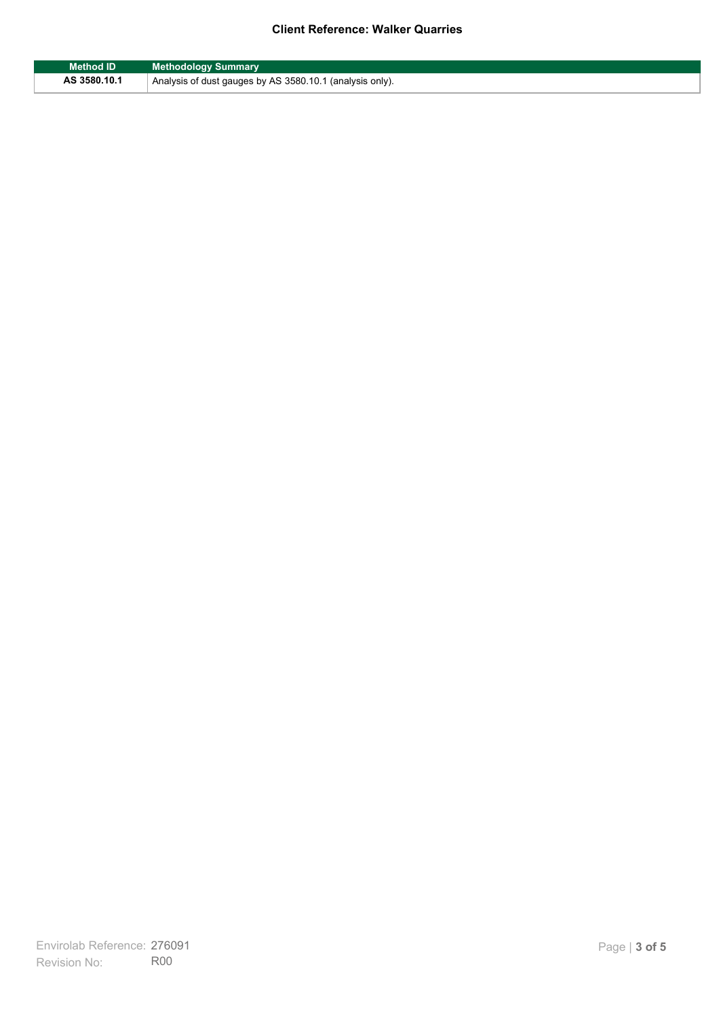| <b>Method ID</b> | <b>Methodology Summary</b>                               |
|------------------|----------------------------------------------------------|
| AS 3580.10.1     | Analysis of dust gauges by AS 3580.10.1 (analysis only). |

F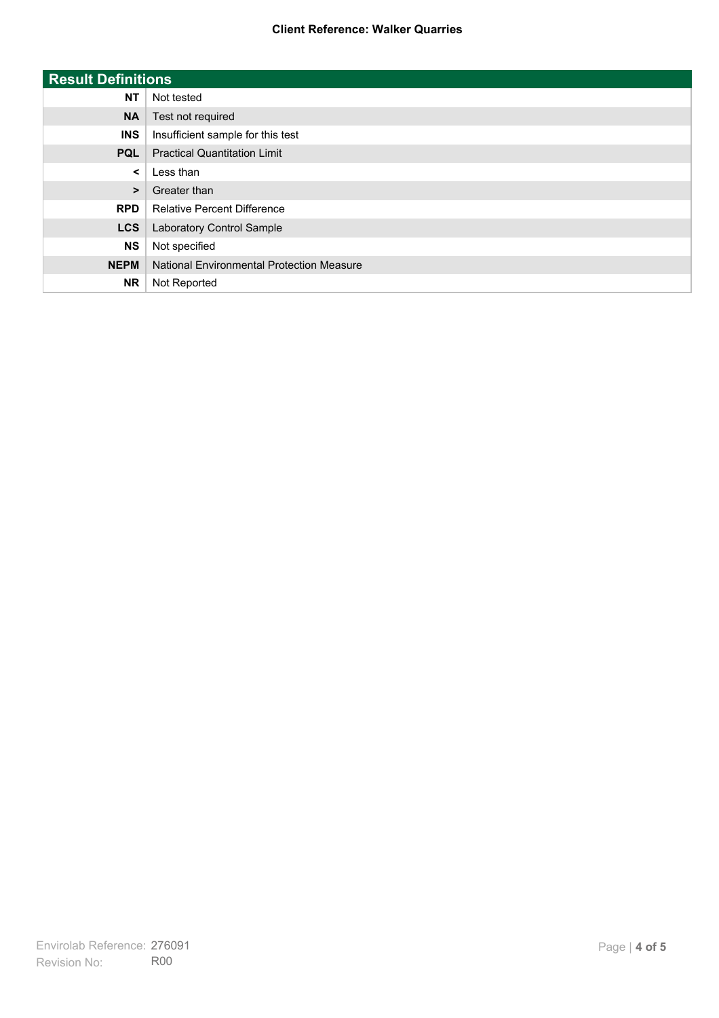| <b>Result Definitions</b> |                                           |
|---------------------------|-------------------------------------------|
| <b>NT</b>                 | Not tested                                |
| <b>NA</b>                 | Test not required                         |
| <b>INS</b>                | Insufficient sample for this test         |
| <b>PQL</b>                | <b>Practical Quantitation Limit</b>       |
| $\prec$                   | Less than                                 |
| $\geq$                    | Greater than                              |
| <b>RPD</b>                | <b>Relative Percent Difference</b>        |
| <b>LCS</b>                | Laboratory Control Sample                 |
| <b>NS</b>                 | Not specified                             |
| <b>NEPM</b>               | National Environmental Protection Measure |
| <b>NR</b>                 | Not Reported                              |